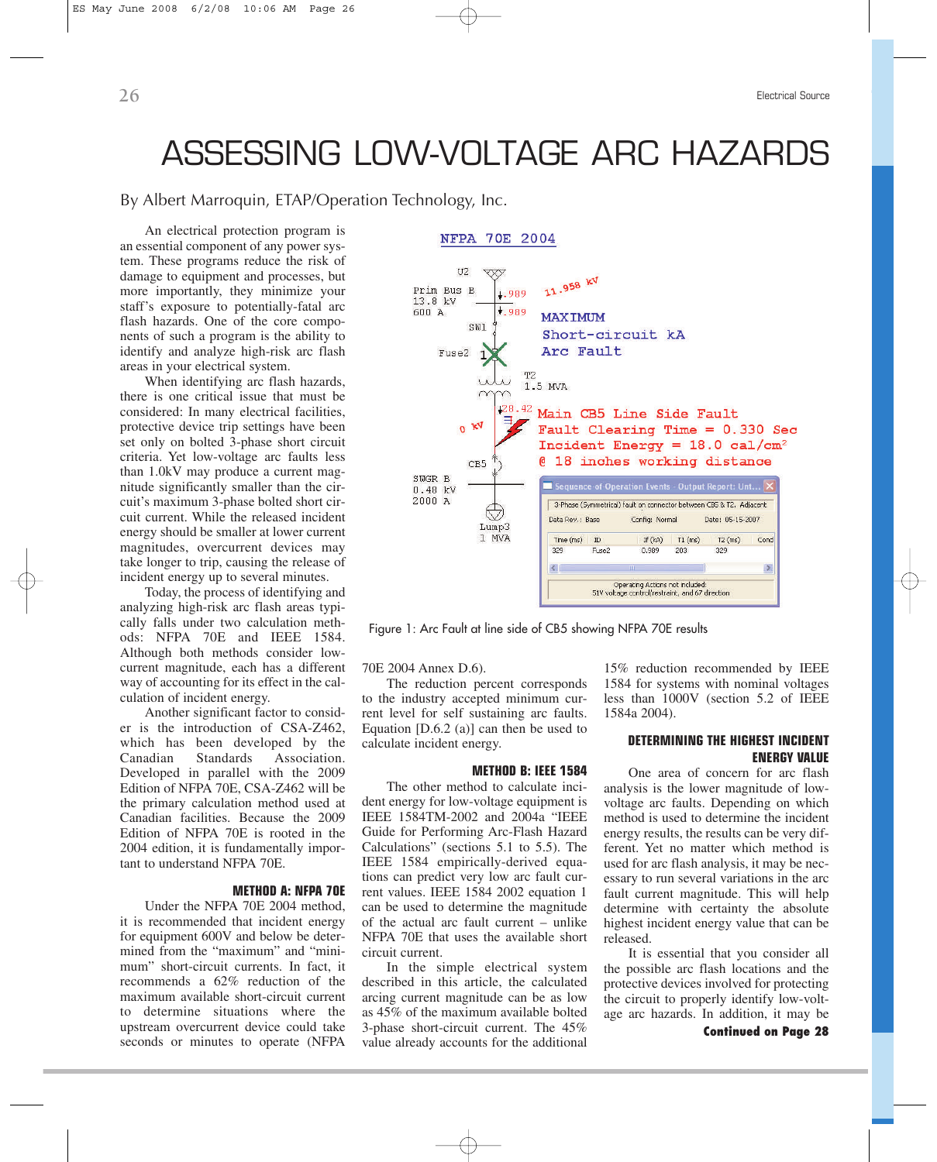# ASSESSING LOW-VOLTAGE ARC HAZARDS

# By Albert Marroquin, [ETAP/Operation Technology, Inc.](http://www.etap.com/arc-flash-analysis/arc-flash-analysis-software.htm)

An electrical protection program is an essential component of any power system. These programs reduce the risk of damage to equipment and processes, but more importantly, they minimize your staff's exposure to potentially-fatal arc flash hazards. One of the core components of such a program is the ability to identify and analyze high-risk arc flash areas in your electrical system.

When identifying arc flash hazards, there is one critical issue that must be considered: In many electrical facilities, protective device trip settings have been set only on bolted 3-phase short circuit criteria. Yet low-voltage arc faults less than 1.0kV may produce a current magnitude significantly smaller than the circuit's maximum 3-phase bolted short circuit current. While the released incident energy should be smaller at lower current magnitudes, overcurrent devices may take longer to trip, causing the release of incident energy up to several minutes.

Today, the process of identifying and analyzing high-risk arc flash areas typically falls under two calculation methods: NFPA 70E and IEEE 1584. Although both methods consider lowcurrent magnitude, each has a different way of accounting for its effect in the calculation of incident energy.

Another significant factor to consider is the introduction of CSA-Z462, which has been developed by the Canadian Standards Association. Developed in parallel with the 2009 Edition of NFPA 70E, CSA-Z462 will be the primary calculation method used at Canadian facilities. Because the 2009 Edition of NFPA 70E is rooted in the 2004 edition, it is fundamentally important to understand NFPA 70E.

## **METHOD A: NFPA 70E**

Under the NFPA 70E 2004 method, it is recommended that incident energy for equipment 600V and below be determined from the "maximum" and "minimum" short-circuit currents. In fact, it recommends a 62% reduction of the maximum available short-circuit current to determine situations where the upstream overcurrent device could take seconds or minutes to operate (NFPA



Figure 1: Arc Fault at line side of CB5 showing NFPA 70E results

70E 2004 Annex D.6).

The reduction percent corresponds to the industry accepted minimum current level for self sustaining arc faults. Equation [D.6.2 (a)] can then be used to calculate incident energy.

### **METHOD B: IEEE 1584**

The other method to calculate incident energy for low-voltage equipment is IEEE 1584TM-2002 and 2004a "IEEE Guide for Performing Arc-Flash Hazard Calculations" (sections 5.1 to 5.5). The IEEE 1584 empirically-derived equations can predict very low arc fault current values. IEEE 1584 2002 equation 1 can be used to determine the magnitude of the actual arc fault current – unlike NFPA 70E that uses the available short circuit current.

In the simple electrical system described in this article, the calculated arcing current magnitude can be as low as 45% of the maximum available bolted 3-phase short-circuit current. The 45% value already accounts for the additional

15% reduction recommended by IEEE 1584 for systems with nominal voltages less than 1000V (section 5.2 of IEEE 1584a 2004).

# **DETERMINING THE HIGHEST INCIDENT ENERGY VALUE**

One area of concern for arc flash analysis is the lower magnitude of lowvoltage arc faults. Depending on which method is used to determine the incident energy results, the results can be very different. Yet no matter which method is used for arc flash analysis, it may be necessary to run several variations in the arc fault current magnitude. This will help determine with certainty the absolute highest incident energy value that can be released.

It is essential that you consider all the possible arc flash locations and the protective devices involved for protecting the circuit to properly identify low-voltage arc hazards. In addition, it may be

**Continued on Page 28**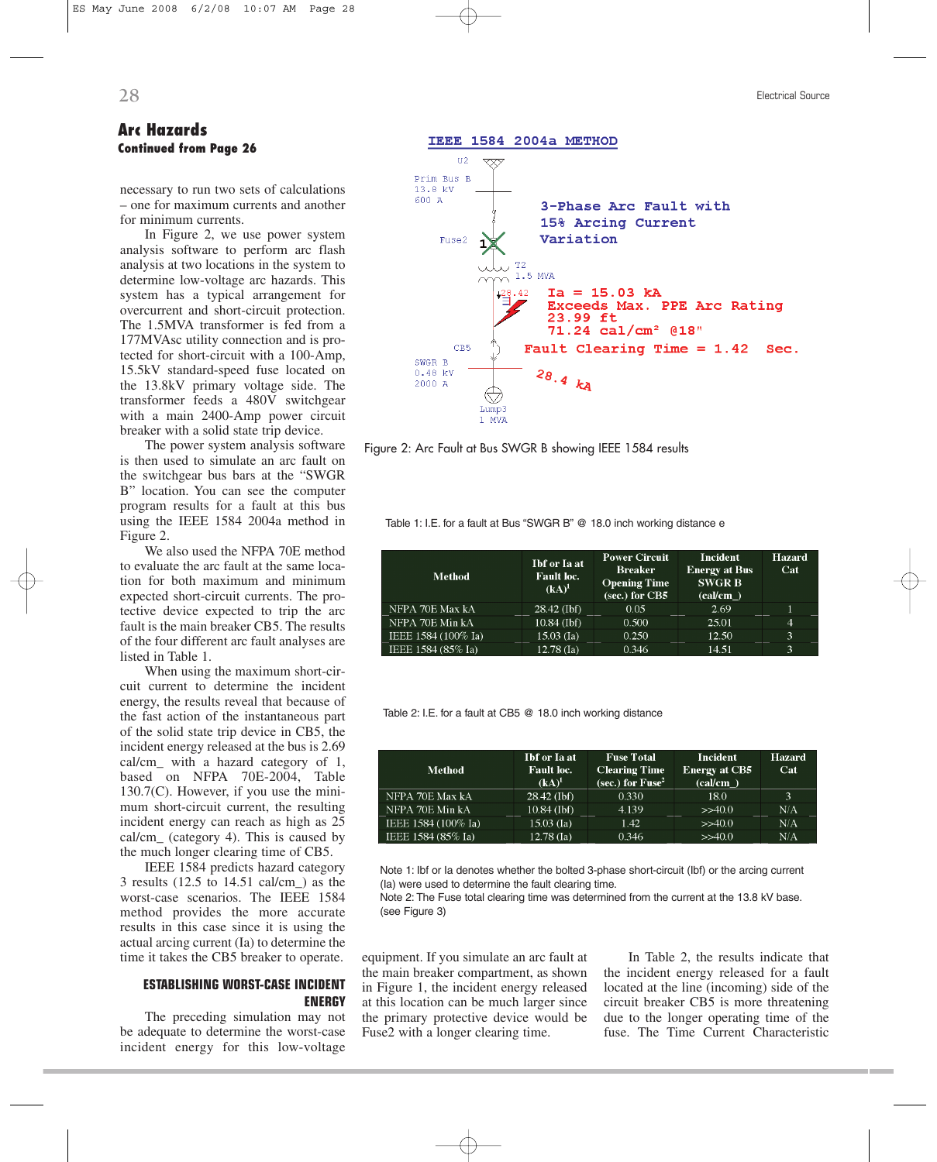# **Arc Hazards Continued from Page 26**

necessary to run two sets of calculations – one for maximum currents and another for minimum currents.

In Figure 2, we use power system analysis software to perform arc flash analysis at two locations in the system to determine low-voltage arc hazards. This system has a typical arrangement for overcurrent and short-circuit protection. The 1.5MVA transformer is fed from a 177MVAsc utility connection and is protected for short-circuit with a 100-Amp, 15.5kV standard-speed fuse located on the 13.8kV primary voltage side. The transformer feeds a 480V switchgear with a main 2400-Amp power circuit breaker with a solid state trip device.

The power system analysis software is then used to simulate an arc fault on the switchgear bus bars at the "SWGR B" location. You can see the computer program results for a fault at this bus using the IEEE 1584 2004a method in Figure 2.

We also used the NFPA 70E method to evaluate the arc fault at the same location for both maximum and minimum expected short-circuit currents. The protective device expected to trip the arc fault is the main breaker CB5. The results of the four different arc fault analyses are listed in Table 1.

When using the maximum short-circuit current to determine the incident energy, the results reveal that because of the fast action of the instantaneous part of the solid state trip device in CB5, the incident energy released at the bus is 2.69 cal/cm\_ with a hazard category of 1, based on NFPA 70E-2004, Table 130.7(C). However, if you use the minimum short-circuit current, the resulting incident energy can reach as high as 25 cal/cm\_ (category 4). This is caused by the much longer clearing time of CB5.

IEEE 1584 predicts hazard category 3 results (12.5 to 14.51 cal/cm\_) as the worst-case scenarios. The IEEE 1584 method provides the more accurate results in this case since it is using the actual arcing current (Ia) to determine the time it takes the CB5 breaker to operate.

## **ESTABLISHING WORST-CASE INCIDENT ENERGY**

The preceding simulation may not be adequate to determine the worst-case incident energy for this low-voltage



IEEE 1584 2004a METHOD





Table 1: I.E. for a fault at Bus "SWGR B" @ 18.0 inch working distance e

| <b>Method</b>       | <b>Ibf</b> or Ia at<br><b>Fault</b> loc.<br>$(kA)^1$ | <b>Power Circuit</b><br><b>Breaker</b><br><b>Opening Time</b><br>(sec.) for CB5 | Incident<br><b>Energy at Bus</b><br><b>SWGR B</b><br>$\text{(cal/cm } )$ | <b>Hazard</b><br>Cat |
|---------------------|------------------------------------------------------|---------------------------------------------------------------------------------|--------------------------------------------------------------------------|----------------------|
| NFPA 70E Max kA     | $28.42$ (Ibf)                                        | 0.05                                                                            | 2.69                                                                     |                      |
| NFPA 70E Min kA     | $10.84$ (Ibf)                                        | 0.500                                                                           | 25.01                                                                    | $\overline{4}$       |
| IEEE 1584 (100% Ia) | $15.03$ (Ia)                                         | 0.250                                                                           | 12.50                                                                    | 3                    |
| IEEE 1584 (85% Ia)  | $12.78$ (Ia)                                         | 0.346                                                                           | 14.51                                                                    | 3                    |

Table 2: I.E. for a fault at CB5 @ 18.0 inch working distance

| <b>Method</b>       | <b>Ibf</b> or Ia at<br><b>Fault loc.</b><br>$(kA)^1$ | <b>Fuse Total</b><br><b>Clearing Time</b><br>(sec.) for $Fuse^2$ | Incident<br><b>Energy at CB5</b><br>(cal/cm) | <b>Hazard</b><br>Cat |
|---------------------|------------------------------------------------------|------------------------------------------------------------------|----------------------------------------------|----------------------|
| NFPA 70E Max kA     | $28.42$ (Ibf)                                        | 0.330                                                            | 18.0                                         | 3                    |
| NFPA 70E Min kA     | $10.84$ (Ibf)                                        | 4.139                                                            | >>40.0                                       | N/A                  |
| IEEE 1584 (100% Ia) | $15.03$ (Ia)                                         | 1.42                                                             | >>40.0                                       | N/A                  |
| IEEE 1584 (85% Ia)  | $12.78$ (Ia)                                         | 0.346                                                            | >>40.0                                       | N/A                  |

Note 1: Ibf or Ia denotes whether the bolted 3-phase short-circuit (Ibf) or the arcing current (Ia) were used to determine the fault clearing time.

Note 2: The Fuse total clearing time was determined from the current at the 13.8 kV base. (see Figure 3)

equipment. If you simulate an arc fault at the main breaker compartment, as shown in Figure 1, the incident energy released at this location can be much larger since the primary protective device would be Fuse2 with a longer clearing time.

In Table 2, the results indicate that the incident energy released for a fault located at the line (incoming) side of the circuit breaker CB5 is more threatening due to the longer operating time of the fuse. The Time Current Characteristic